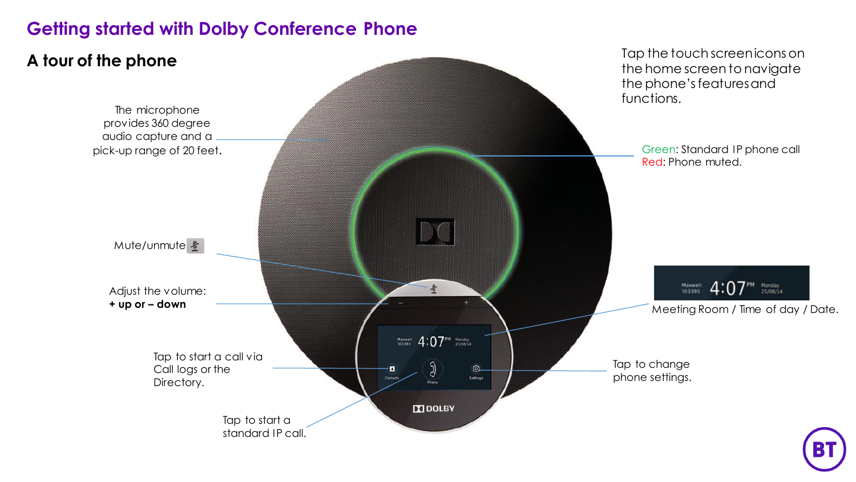# **Getting started with Dolby Conference Phone**